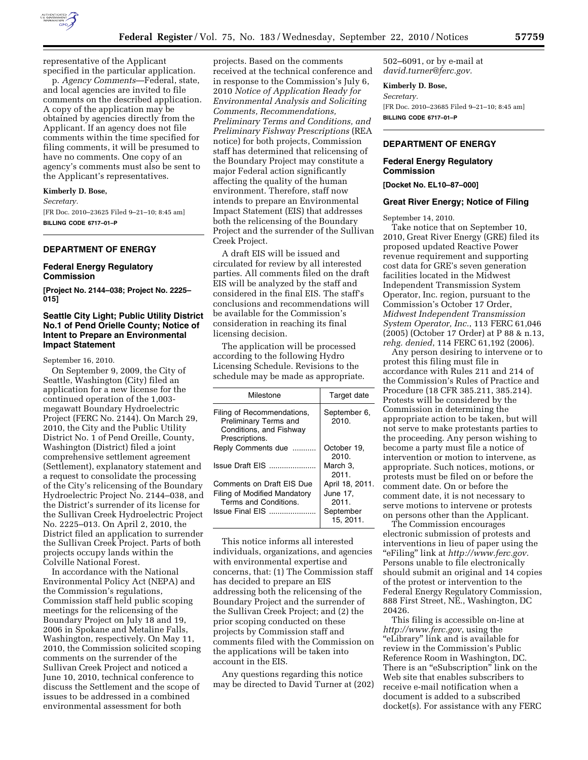

specified in the particular application. p. *Agency Comments*—Federal, state, and local agencies are invited to file comments on the described application. A copy of the application may be obtained by agencies directly from the Applicant. If an agency does not file comments within the time specified for filing comments, it will be presumed to have no comments. One copy of an agency's comments must also be sent to the Applicant's representatives.

#### **Kimberly D. Bose,**

*Secretary.* 

[FR Doc. 2010–23625 Filed 9–21–10; 8:45 am] **BILLING CODE 6717–01–P** 

# **DEPARTMENT OF ENERGY**

## **Federal Energy Regulatory Commission**

**[Project No. 2144–038; Project No. 2225– 015]** 

# **Seattle City Light; Public Utility District No.1 of Pend Orielle County; Notice of Intent to Prepare an Environmental Impact Statement**

September 16, 2010.

On September 9, 2009, the City of Seattle, Washington (City) filed an application for a new license for the continued operation of the 1,003 megawatt Boundary Hydroelectric Project (FERC No. 2144). On March 29, 2010, the City and the Public Utility District No. 1 of Pend Oreille, County, Washington (District) filed a joint comprehensive settlement agreement (Settlement), explanatory statement and a request to consolidate the processing of the City's relicensing of the Boundary Hydroelectric Project No. 2144–038, and the District's surrender of its license for the Sullivan Creek Hydroelectric Project No. 2225–013. On April 2, 2010, the District filed an application to surrender the Sullivan Creek Project. Parts of both projects occupy lands within the Colville National Forest.

In accordance with the National Environmental Policy Act (NEPA) and the Commission's regulations, Commission staff held public scoping meetings for the relicensing of the Boundary Project on July 18 and 19, 2006 in Spokane and Metaline Falls, Washington, respectively. On May 11, 2010, the Commission solicited scoping comments on the surrender of the Sullivan Creek Project and noticed a June 10, 2010, technical conference to discuss the Settlement and the scope of issues to be addressed in a combined environmental assessment for both

projects. Based on the comments received at the technical conference and in response to the Commission's July 6, 2010 *Notice of Application Ready for Environmental Analysis and Soliciting Comments, Recommendations, Preliminary Terms and Conditions, and Preliminary Fishway Prescriptions* (REA notice) for both projects, Commission staff has determined that relicensing of the Boundary Project may constitute a major Federal action significantly affecting the quality of the human environment. Therefore, staff now intends to prepare an Environmental Impact Statement (EIS) that addresses both the relicensing of the Boundary Project and the surrender of the Sullivan Creek Project.

A draft EIS will be issued and circulated for review by all interested parties. All comments filed on the draft EIS will be analyzed by the staff and considered in the final EIS. The staff's conclusions and recommendations will be available for the Commission's consideration in reaching its final licensing decision.

The application will be processed according to the following Hydro Licensing Schedule. Revisions to the schedule may be made as appropriate.

| Milestone                                                                                                    | Target date                                                   |
|--------------------------------------------------------------------------------------------------------------|---------------------------------------------------------------|
| Filing of Recommendations,<br>Preliminary Terms and<br>Conditions, and Fishway<br>Prescriptions.             | September 6,<br>2010.                                         |
| Reply Comments due                                                                                           | October 19.<br>2010.                                          |
| <b>Issue Draft EIS</b>                                                                                       | March 3.<br>2011.                                             |
| Comments on Draft EIS Due<br><b>Filing of Modified Mandatory</b><br>Terms and Conditions.<br>Issue Final EIS | April 18, 2011.<br>June 17.<br>2011.<br>September<br>15.2011. |

This notice informs all interested individuals, organizations, and agencies with environmental expertise and concerns, that: (1) The Commission staff has decided to prepare an EIS addressing both the relicensing of the Boundary Project and the surrender of the Sullivan Creek Project; and (2) the prior scoping conducted on these projects by Commission staff and comments filed with the Commission on the applications will be taken into account in the EIS.

Any questions regarding this notice may be directed to David Turner at (202) 502–6091, or by e-mail at *[david.turner@ferc.gov.](mailto:david.turner@ferc.gov)* 

#### **Kimberly D. Bose,**

*Secretary.*  [FR Doc. 2010–23685 Filed 9–21–10; 8:45 am] **BILLING CODE 6717–01–P** 

# **DEPARTMENT OF ENERGY**

# **Federal Energy Regulatory Commission**

**[Docket No. EL10–87–000]** 

### **Great River Energy; Notice of Filing**

September 14, 2010.

Take notice that on September 10, 2010, Great River Energy (GRE) filed its proposed updated Reactive Power revenue requirement and supporting cost data for GRE's seven generation facilities located in the Midwest Independent Transmission System Operator, Inc. region, pursuant to the Commission's October 17 Order, *Midwest Independent Transmission System Operator, Inc.*, 113 FERC 61,046 (2005) (October 17 Order) at P 88 & n.13, *rehg. denied*, 114 FERC 61,192 (2006).

Any person desiring to intervene or to protest this filing must file in accordance with Rules 211 and 214 of the Commission's Rules of Practice and Procedure (18 CFR 385.211, 385.214). Protests will be considered by the Commission in determining the appropriate action to be taken, but will not serve to make protestants parties to the proceeding. Any person wishing to become a party must file a notice of intervention or motion to intervene, as appropriate. Such notices, motions, or protests must be filed on or before the comment date. On or before the comment date, it is not necessary to serve motions to intervene or protests on persons other than the Applicant.

The Commission encourages electronic submission of protests and interventions in lieu of paper using the ''eFiling'' link at *[http://www.ferc.gov.](http://www.ferc.gov)*  Persons unable to file electronically should submit an original and 14 copies of the protest or intervention to the Federal Energy Regulatory Commission, 888 First Street, NE., Washington, DC 20426.

This filing is accessible on-line at *<http://www.ferc.gov>*, using the ''eLibrary'' link and is available for review in the Commission's Public Reference Room in Washington, DC. There is an ''eSubscription'' link on the Web site that enables subscribers to receive e-mail notification when a document is added to a subscribed docket(s). For assistance with any FERC